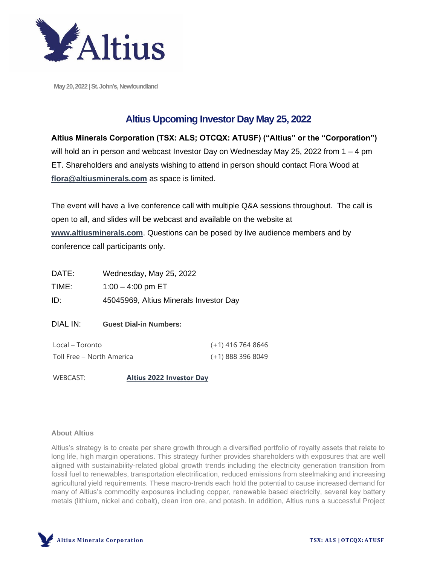

May 20, 2022 | St. John's, Newfoundland

## **Altius Upcoming Investor Day May 25, 2022**

**Altius Minerals Corporation (TSX: ALS; OTCQX: ATUSF) ("Altius" or the "Corporation")** will hold an in person and webcast Investor Day on Wednesday May 25, 2022 from 1 – 4 pm ET. Shareholders and analysts wishing to attend in person should contact Flora Wood at **[flora@altiusminerals.com](mailto:flora@altiusminerals.com)** as space is limited.

The event will have a live conference call with multiple Q&A sessions throughout. The call is open to all, and slides will be webcast and available on the website at **[www.altiusminerals.com](http://www.altiusminerals.com/)**. Questions can be posed by live audience members and by conference call participants only.

| DATE:                     | Wednesday, May 25, 2022                |                     |
|---------------------------|----------------------------------------|---------------------|
| TIME:                     | $1:00 - 4:00$ pm ET                    |                     |
| ID:                       | 45045969, Altius Minerals Investor Day |                     |
| DIAL IN:                  | <b>Guest Dial-in Numbers:</b>          |                     |
| Local – Toronto           |                                        | $(+1)$ 416 764 8646 |
| Toll Free – North America |                                        | $(+1)$ 888 396 8049 |
| WEBCAST:                  | <b>Altius 2022 Investor Dav</b>        |                     |

## **About Altius**

Altius's strategy is to create per share growth through a diversified portfolio of royalty assets that relate to long life, high margin operations. This strategy further provides shareholders with exposures that are well aligned with sustainability-related global growth trends including the electricity generation transition from fossil fuel to renewables, transportation electrification, reduced emissions from steelmaking and increasing agricultural yield requirements. These macro-trends each hold the potential to cause increased demand for many of Altius's commodity exposures including copper, renewable based electricity, several key battery metals (lithium, nickel and cobalt), clean iron ore, and potash. In addition, Altius runs a successful Project

**Altius Minerals Corporation TSX: ALS | OTCQX: ATUSF**